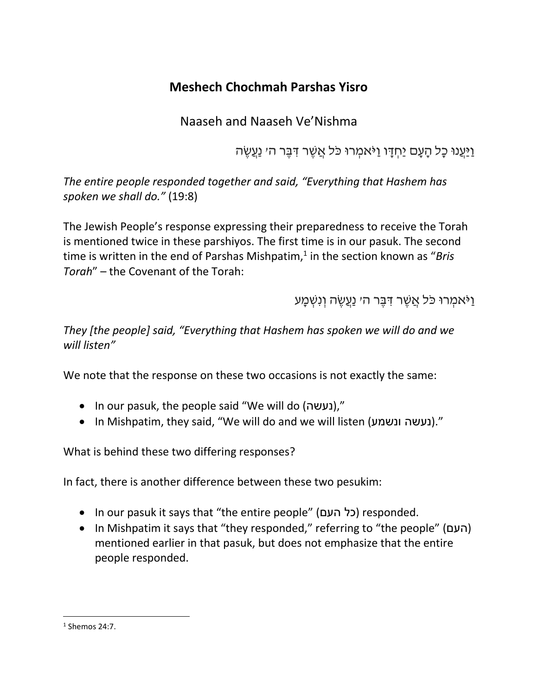# **Meshech Chochmah Parshas Yisro**

Naaseh and Naaseh Ve'Nishma

וַיַּעֲנוּ כָל הַעֲם יַחְדָּו וַיֹּאמְרוּ כֹּל אֲשֶׁר דְּבֶּר הי נַעֲשֶׂה

*The entire people responded together and said, "Everything that Hashem has spoken we shall do."* (19:8)

The Jewish People's response expressing their preparedness to receive the Torah is mentioned twice in these parshiyos. The first time is in our pasuk. The second time is written in the end of Parshas Mishpatim,<sup>1</sup> in the section known as "Bris *Torah*" – the Covenant of the Torah:

וַיֹּאמְרוּ כֹּל אֲשֶׁר דְּבֵּר ה*י* נַעֲשֶׂה וְנִשְׁמָע

*They [the people] said, "Everything that Hashem has spoken we will do and we will listen"*

We note that the response on these two occasions is not exactly the same:

- In our pasuk, the people said "We will do (נעשה),"
- In Mishpatim, they said, "We will do and we will listen (ונשמע נעשה(."

What is behind these two differing responses?

In fact, there is another difference between these two pesukim:

- In our pasuk it says that "the entire people" (כל העם) responded.
- In Mishpatim it says that "they responded," referring to "the people" (העם ( mentioned earlier in that pasuk, but does not emphasize that the entire people responded.

 $\overline{\phantom{a}}$ 

<sup>1</sup> Shemos 24:7.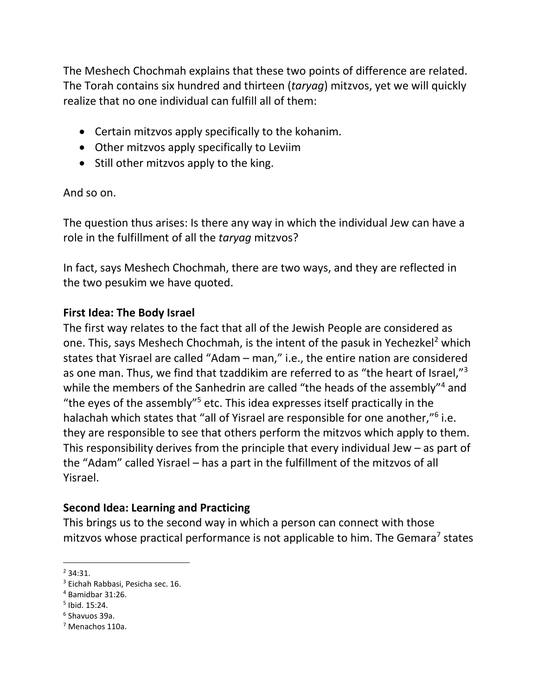The Meshech Chochmah explains that these two points of difference are related. The Torah contains six hundred and thirteen (*taryag*) mitzvos, yet we will quickly realize that no one individual can fulfill all of them:

- Certain mitzvos apply specifically to the kohanim.
- Other mitzvos apply specifically to Leviim
- Still other mitzvos apply to the king.

#### And so on.

The question thus arises: Is there any way in which the individual Jew can have a role in the fulfillment of all the *taryag* mitzvos?

In fact, says Meshech Chochmah, there are two ways, and they are reflected in the two pesukim we have quoted.

## **First Idea: The Body Israel**

The first way relates to the fact that all of the Jewish People are considered as one. This, says Meshech Chochmah, is the intent of the pasuk in Yechezkel<sup>2</sup> which states that Yisrael are called "Adam – man," i.e., the entire nation are considered as one man. Thus, we find that tzaddikim are referred to as "the heart of Israel,"<sup>3</sup> while the members of the Sanhedrin are called "the heads of the assembly"<sup>4</sup> and "the eyes of the assembly"<sup>5</sup> etc. This idea expresses itself practically in the halachah which states that "all of Yisrael are responsible for one another,"<sup>6</sup> i.e. they are responsible to see that others perform the mitzvos which apply to them. This responsibility derives from the principle that every individual Jew – as part of the "Adam" called Yisrael – has a part in the fulfillment of the mitzvos of all Yisrael.

## **Second Idea: Learning and Practicing**

This brings us to the second way in which a person can connect with those mitzvos whose practical performance is not applicable to him. The Gemara<sup>7</sup> states

 $\overline{a}$  $2,34:31.$ 

<sup>3</sup> Eichah Rabbasi, Pesicha sec. 16.

<sup>4</sup> Bamidbar 31:26.

<sup>5</sup> Ibid. 15:24.

<sup>6</sup> Shavuos 39a.

<sup>7</sup> Menachos 110a.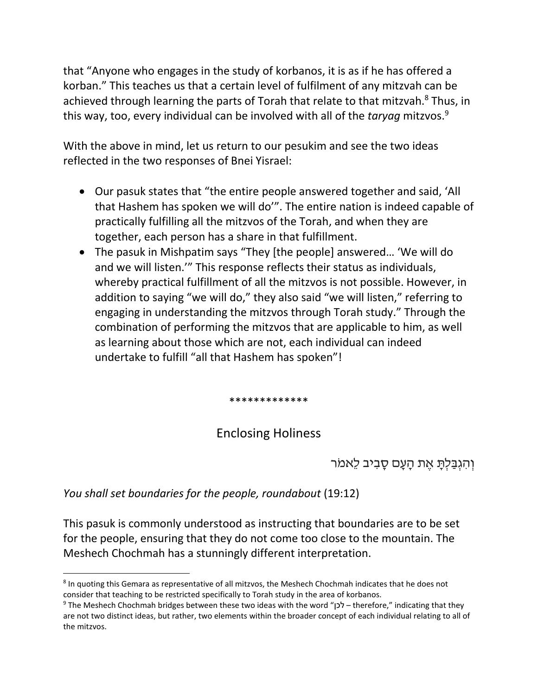that "Anyone who engages in the study of korbanos, it is as if he has offered a korban." This teaches us that a certain level of fulfilment of any mitzvah can be achieved through learning the parts of Torah that relate to that mitzvah.<sup>8</sup> Thus, in this way, too, every individual can be involved with all of the *taryag* mitzvos.<sup>9</sup>

With the above in mind, let us return to our pesukim and see the two ideas reflected in the two responses of Bnei Yisrael:

- Our pasuk states that "the entire people answered together and said, 'All that Hashem has spoken we will do'". The entire nation is indeed capable of practically fulfilling all the mitzvos of the Torah, and when they are together, each person has a share in that fulfillment.
- The pasuk in Mishpatim says "They [the people] answered… 'We will do and we will listen.'" This response reflects their status as individuals, whereby practical fulfillment of all the mitzvos is not possible. However, in addition to saying "we will do," they also said "we will listen," referring to engaging in understanding the mitzvos through Torah study." Through the combination of performing the mitzvos that are applicable to him, as well as learning about those which are not, each individual can indeed undertake to fulfill "all that Hashem has spoken"!

\*\*\*\*\*\*\*\*\*\*\*\*\*

# Enclosing Holiness

# וְהִגְבַּלְתָּ אֶת הָעָם סָבִיב לֵאמֹר

*You shall set boundaries for the people, roundabout* (19:12)

This pasuk is commonly understood as instructing that boundaries are to be set for the people, ensuring that they do not come too close to the mountain. The Meshech Chochmah has a stunningly different interpretation.

l <sup>8</sup> In quoting this Gemara as representative of all mitzvos, the Meshech Chochmah indicates that he does not consider that teaching to be restricted specifically to Torah study in the area of korbanos.

<sup>9</sup> The Meshech Chochmah bridges between these two ideas with the word "לכן – therefore," indicating that they are not two distinct ideas, but rather, two elements within the broader concept of each individual relating to all of the mitzvos.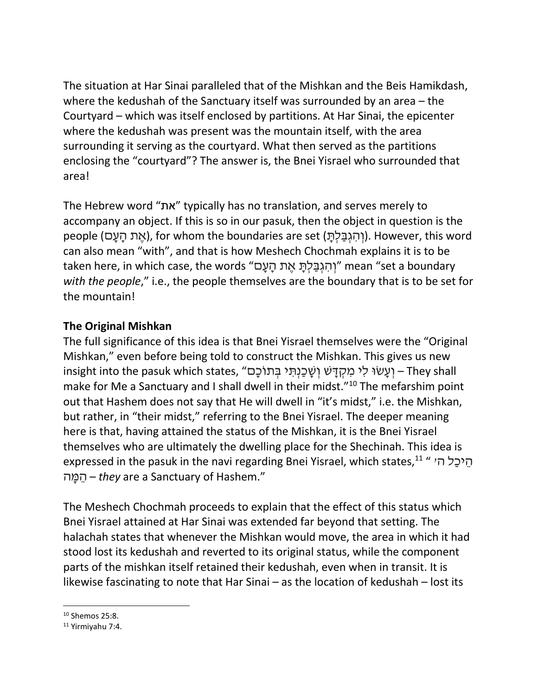The situation at Har Sinai paralleled that of the Mishkan and the Beis Hamikdash, where the kedushah of the Sanctuary itself was surrounded by an area – the Courtyard – which was itself enclosed by partitions. At Har Sinai, the epicenter where the kedushah was present was the mountain itself, with the area surrounding it serving as the courtyard. What then served as the partitions enclosing the "courtyard"? The answer is, the Bnei Yisrael who surrounded that area!

The Hebrew word "את "typically has no translation, and serves merely to accompany an object. If this is so in our pasuk, then the object in question is the people (אֶת הַעָם), for whom the boundaries are set (וְהִגְבַּלְתֵּ). However, this word can also mean "with", and that is how Meshech Chochmah explains it is to be taken here, in which case, the words "וְהִגְבַּלְתָּ אֶת הַעָּם" mean "set a boundary *with the people*," i.e., the people themselves are the boundary that is to be set for the mountain!

## **The Original Mishkan**

The full significance of this idea is that Bnei Yisrael themselves were the "Original Mishkan," even before being told to construct the Mishkan. This gives us new insight into the pasuk which states, "וְ שֵׁכֵנְתֵּי בְּתוֹכָם insight into the pasuk which states, ' make for Me a Sanctuary and I shall dwell in their midst."<sup>10</sup> The mefarshim point out that Hashem does not say that He will dwell in "it's midst," i.e. the Mishkan, but rather, in "their midst," referring to the Bnei Yisrael. The deeper meaning here is that, having attained the status of the Mishkan, it is the Bnei Yisrael themselves who are ultimately the dwelling place for the Shechinah. This idea is expressed in the pasuk in the navi regarding Bnei Yisrael, which states, $^{11}$  " הֵיכַל ה $\,$ ה ָמ ֵה – *they* are a Sanctuary of Hashem."

The Meshech Chochmah proceeds to explain that the effect of this status which Bnei Yisrael attained at Har Sinai was extended far beyond that setting. The halachah states that whenever the Mishkan would move, the area in which it had stood lost its kedushah and reverted to its original status, while the component parts of the mishkan itself retained their kedushah, even when in transit. It is likewise fascinating to note that Har Sinai – as the location of kedushah – lost its

l

 $10$  Shemos 25:8.

<sup>11</sup> Yirmiyahu 7:4.